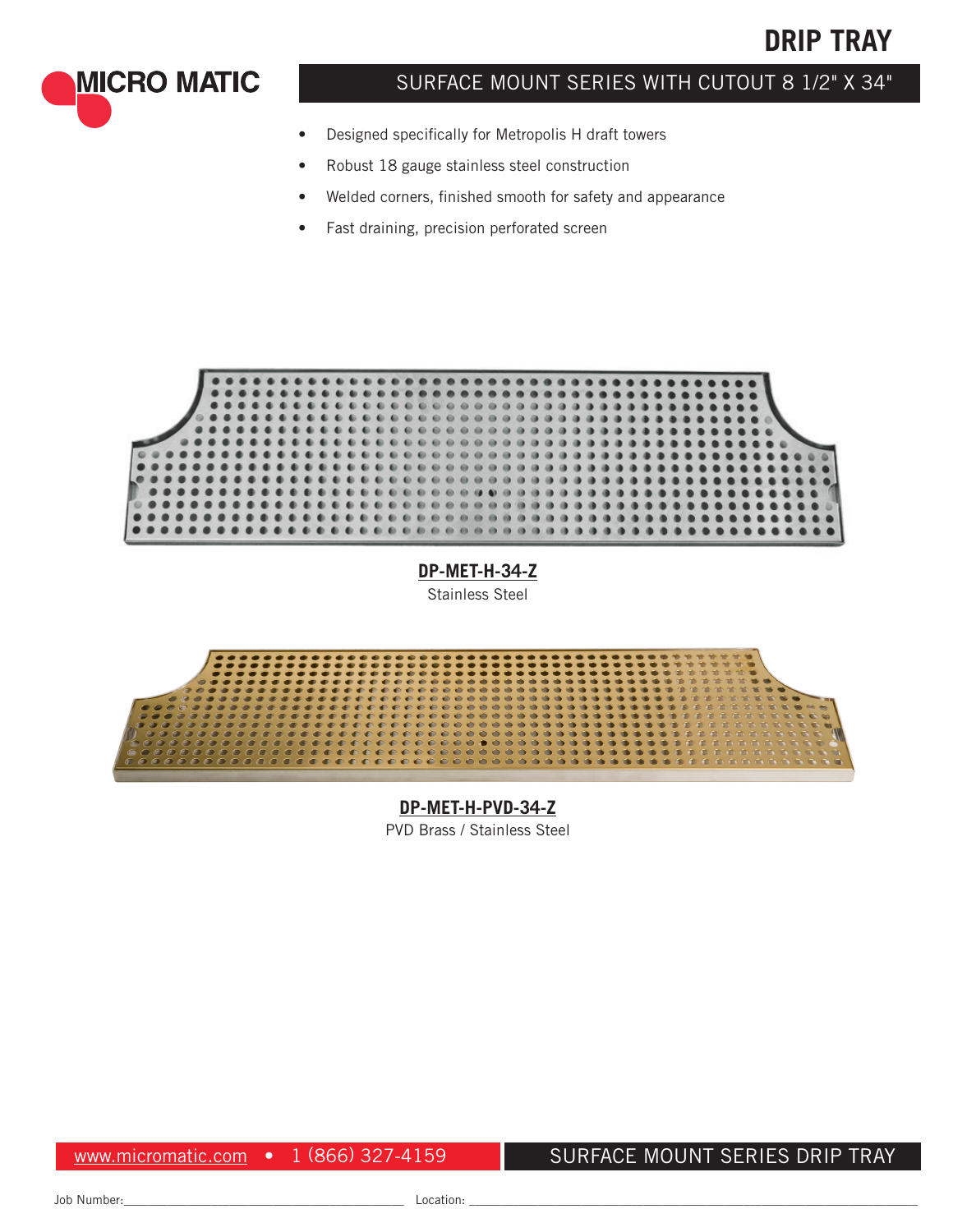



# SURFACE MOUNT SERIES WITH CUTOUT 8 1/2" X 34"

- Designed specifically for Metropolis H draft towers
- Robust 18 gauge stainless steel construction
- Welded corners, finished smooth for safety and appearance
- Fast draining, precision perforated screen



**[DP-MET-H-34-Z](http://www.micromatic.com/stainless-steel/34-inch-stainless-steel-surface-mount-drain-tray-w-drain-dp-met-h-34-z)** Stainless Steel



**DP-MET-H-PVD-34-Z** PVD Brass / Stainless Steel

www.micromatic.com • 1 (866) 327-4159

### SURFACE MOUNT SERIES DRIP TRAY